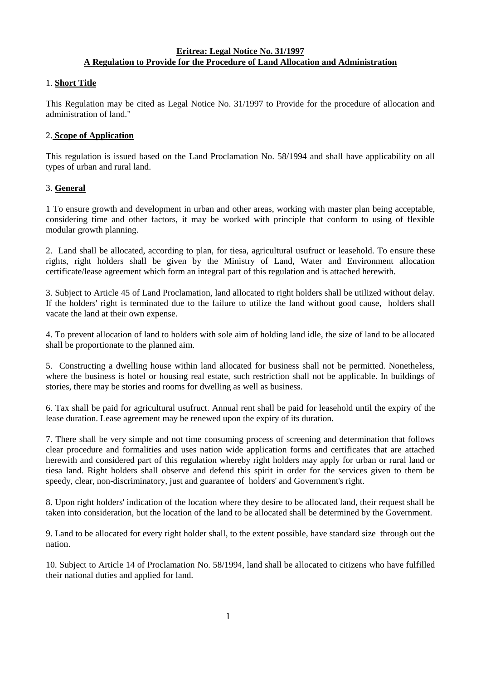#### **Eritrea: Legal Notice No. 31/1997 A Regulation to Provide for the Procedure of Land Allocation and Administration**

## 1. **Short Title**

This Regulation may be cited as Legal Notice No. 31/1997 to Provide for the procedure of allocation and administration of land."

## 2. **Scope of Application**

This regulation is issued based on the Land Proclamation No. 58/1994 and shall have applicability on all types of urban and rural land.

## 3. **General**

1 To ensure growth and development in urban and other areas, working with master plan being acceptable, considering time and other factors, it may be worked with principle that conform to using of flexible modular growth planning.

2. Land shall be allocated, according to plan, for tiesa, agricultural usufruct or leasehold. To ensure these rights, right holders shall be given by the Ministry of Land, Water and Environment allocation certificate/lease agreement which form an integral part of this regulation and is attached herewith.

3. Subject to Article 45 of Land Proclamation, land allocated to right holders shall be utilized without delay. If the holders' right is terminated due to the failure to utilize the land without good cause, holders shall vacate the land at their own expense.

4. To prevent allocation of land to holders with sole aim of holding land idle, the size of land to be allocated shall be proportionate to the planned aim.

5. Constructing a dwelling house within land allocated for business shall not be permitted. Nonetheless, where the business is hotel or housing real estate, such restriction shall not be applicable. In buildings of stories, there may be stories and rooms for dwelling as well as business.

6. Tax shall be paid for agricultural usufruct. Annual rent shall be paid for leasehold until the expiry of the lease duration. Lease agreement may be renewed upon the expiry of its duration.

7. There shall be very simple and not time consuming process of screening and determination that follows clear procedure and formalities and uses nation wide application forms and certificates that are attached herewith and considered part of this regulation whereby right holders may apply for urban or rural land or tiesa land. Right holders shall observe and defend this spirit in order for the services given to them be speedy, clear, non-discriminatory, just and guarantee of holders' and Government's right.

8. Upon right holders' indication of the location where they desire to be allocated land, their request shall be taken into consideration, but the location of the land to be allocated shall be determined by the Government.

9. Land to be allocated for every right holder shall, to the extent possible, have standard size through out the nation.

10. Subject to Article 14 of Proclamation No. 58/1994, land shall be allocated to citizens who have fulfilled their national duties and applied for land.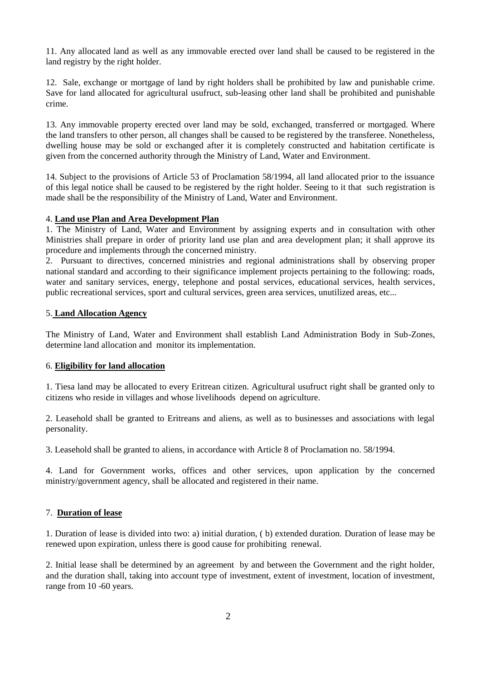11. Any allocated land as well as any immovable erected over land shall be caused to be registered in the land registry by the right holder.

12. Sale, exchange or mortgage of land by right holders shall be prohibited by law and punishable crime. Save for land allocated for agricultural usufruct, sub-leasing other land shall be prohibited and punishable crime.

13. Any immovable property erected over land may be sold, exchanged, transferred or mortgaged. Where the land transfers to other person, all changes shall be caused to be registered by the transferee. Nonetheless, dwelling house may be sold or exchanged after it is completely constructed and habitation certificate is given from the concerned authority through the Ministry of Land, Water and Environment.

14. Subject to the provisions of Article 53 of Proclamation 58/1994, all land allocated prior to the issuance of this legal notice shall be caused to be registered by the right holder. Seeing to it that such registration is made shall be the responsibility of the Ministry of Land, Water and Environment.

#### 4. **Land use Plan and Area Development Plan**

1. The Ministry of Land, Water and Environment by assigning experts and in consultation with other Ministries shall prepare in order of priority land use plan and area development plan; it shall approve its procedure and implements through the concerned ministry.

2. Pursuant to directives, concerned ministries and regional administrations shall by observing proper national standard and according to their significance implement projects pertaining to the following: roads, water and sanitary services, energy, telephone and postal services, educational services, health services, public recreational services, sport and cultural services, green area services, unutilized areas, etc...

#### 5. **Land Allocation Agency**

The Ministry of Land, Water and Environment shall establish Land Administration Body in Sub-Zones, determine land allocation and monitor its implementation.

#### 6. **Eligibility for land allocation**

1. Tiesa land may be allocated to every Eritrean citizen. Agricultural usufruct right shall be granted only to citizens who reside in villages and whose livelihoods depend on agriculture.

2. Leasehold shall be granted to Eritreans and aliens, as well as to businesses and associations with legal personality.

3. Leasehold shall be granted to aliens, in accordance with Article 8 of Proclamation no. 58/1994.

4. Land for Government works, offices and other services, upon application by the concerned ministry/government agency, shall be allocated and registered in their name.

## 7. **Duration of lease**

1. Duration of lease is divided into two: a) initial duration, ( b) extended duration. Duration of lease may be renewed upon expiration, unless there is good cause for prohibiting renewal.

2. Initial lease shall be determined by an agreement by and between the Government and the right holder, and the duration shall, taking into account type of investment, extent of investment, location of investment, range from 10 -60 years.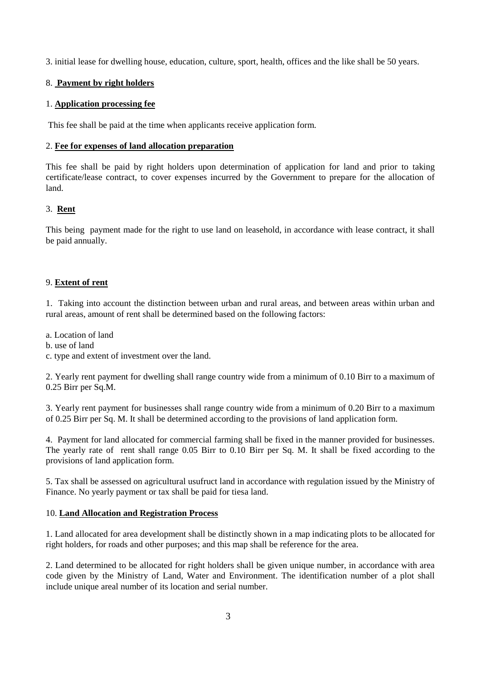3. initial lease for dwelling house, education, culture, sport, health, offices and the like shall be 50 years.

### 8. **Payment by right holders**

## 1. **Application processing fee**

This fee shall be paid at the time when applicants receive application form.

#### 2. **Fee for expenses of land allocation preparation**

This fee shall be paid by right holders upon determination of application for land and prior to taking certificate/lease contract, to cover expenses incurred by the Government to prepare for the allocation of land.

## 3. **Rent**

This being payment made for the right to use land on leasehold, in accordance with lease contract, it shall be paid annually.

## 9. **Extent of rent**

1. Taking into account the distinction between urban and rural areas, and between areas within urban and rural areas, amount of rent shall be determined based on the following factors:

a. Location of land

b. use of land

c. type and extent of investment over the land.

2. Yearly rent payment for dwelling shall range country wide from a minimum of 0.10 Birr to a maximum of 0.25 Birr per Sq.M.

3. Yearly rent payment for businesses shall range country wide from a minimum of 0.20 Birr to a maximum of 0.25 Birr per Sq. M. It shall be determined according to the provisions of land application form.

4. Payment for land allocated for commercial farming shall be fixed in the manner provided for businesses. The yearly rate of rent shall range 0.05 Birr to 0.10 Birr per Sq. M. It shall be fixed according to the provisions of land application form.

5. Tax shall be assessed on agricultural usufruct land in accordance with regulation issued by the Ministry of Finance. No yearly payment or tax shall be paid for tiesa land.

#### 10. **Land Allocation and Registration Process**

1. Land allocated for area development shall be distinctly shown in a map indicating plots to be allocated for right holders, for roads and other purposes; and this map shall be reference for the area.

2. Land determined to be allocated for right holders shall be given unique number, in accordance with area code given by the Ministry of Land, Water and Environment. The identification number of a plot shall include unique areal number of its location and serial number.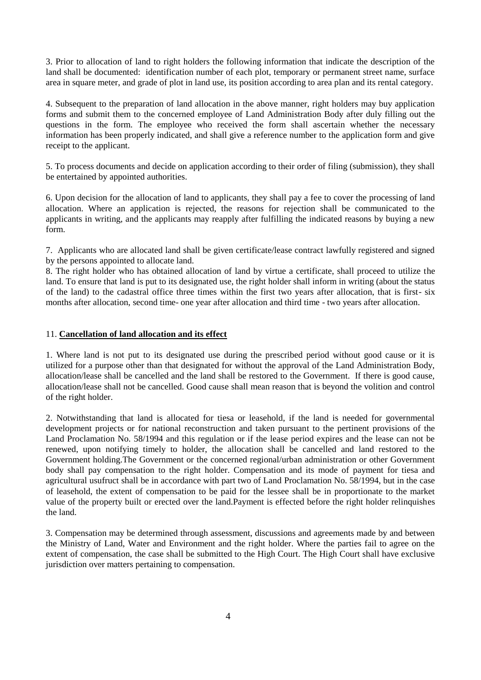3. Prior to allocation of land to right holders the following information that indicate the description of the land shall be documented: identification number of each plot, temporary or permanent street name, surface area in square meter, and grade of plot in land use, its position according to area plan and its rental category.

4. Subsequent to the preparation of land allocation in the above manner, right holders may buy application forms and submit them to the concerned employee of Land Administration Body after duly filling out the questions in the form. The employee who received the form shall ascertain whether the necessary information has been properly indicated, and shall give a reference number to the application form and give receipt to the applicant.

5. To process documents and decide on application according to their order of filing (submission), they shall be entertained by appointed authorities.

6. Upon decision for the allocation of land to applicants, they shall pay a fee to cover the processing of land allocation. Where an application is rejected, the reasons for rejection shall be communicated to the applicants in writing, and the applicants may reapply after fulfilling the indicated reasons by buying a new form.

7. Applicants who are allocated land shall be given certificate/lease contract lawfully registered and signed by the persons appointed to allocate land.

8. The right holder who has obtained allocation of land by virtue a certificate, shall proceed to utilize the land. To ensure that land is put to its designated use, the right holder shall inform in writing (about the status of the land) to the cadastral office three times within the first two years after allocation, that is first- six months after allocation, second time- one year after allocation and third time - two years after allocation.

#### 11. **Cancellation of land allocation and its effect**

1. Where land is not put to its designated use during the prescribed period without good cause or it is utilized for a purpose other than that designated for without the approval of the Land Administration Body, allocation/lease shall be cancelled and the land shall be restored to the Government. If there is good cause, allocation/lease shall not be cancelled. Good cause shall mean reason that is beyond the volition and control of the right holder.

2. Notwithstanding that land is allocated for tiesa or leasehold, if the land is needed for governmental development projects or for national reconstruction and taken pursuant to the pertinent provisions of the Land Proclamation No. 58/1994 and this regulation or if the lease period expires and the lease can not be renewed, upon notifying timely to holder, the allocation shall be cancelled and land restored to the Government holding.The Government or the concerned regional/urban administration or other Government body shall pay compensation to the right holder. Compensation and its mode of payment for tiesa and agricultural usufruct shall be in accordance with part two of Land Proclamation No. 58/1994, but in the case of leasehold, the extent of compensation to be paid for the lessee shall be in proportionate to the market value of the property built or erected over the land.Payment is effected before the right holder relinquishes the land.

3. Compensation may be determined through assessment, discussions and agreements made by and between the Ministry of Land, Water and Environment and the right holder. Where the parties fail to agree on the extent of compensation, the case shall be submitted to the High Court. The High Court shall have exclusive jurisdiction over matters pertaining to compensation.